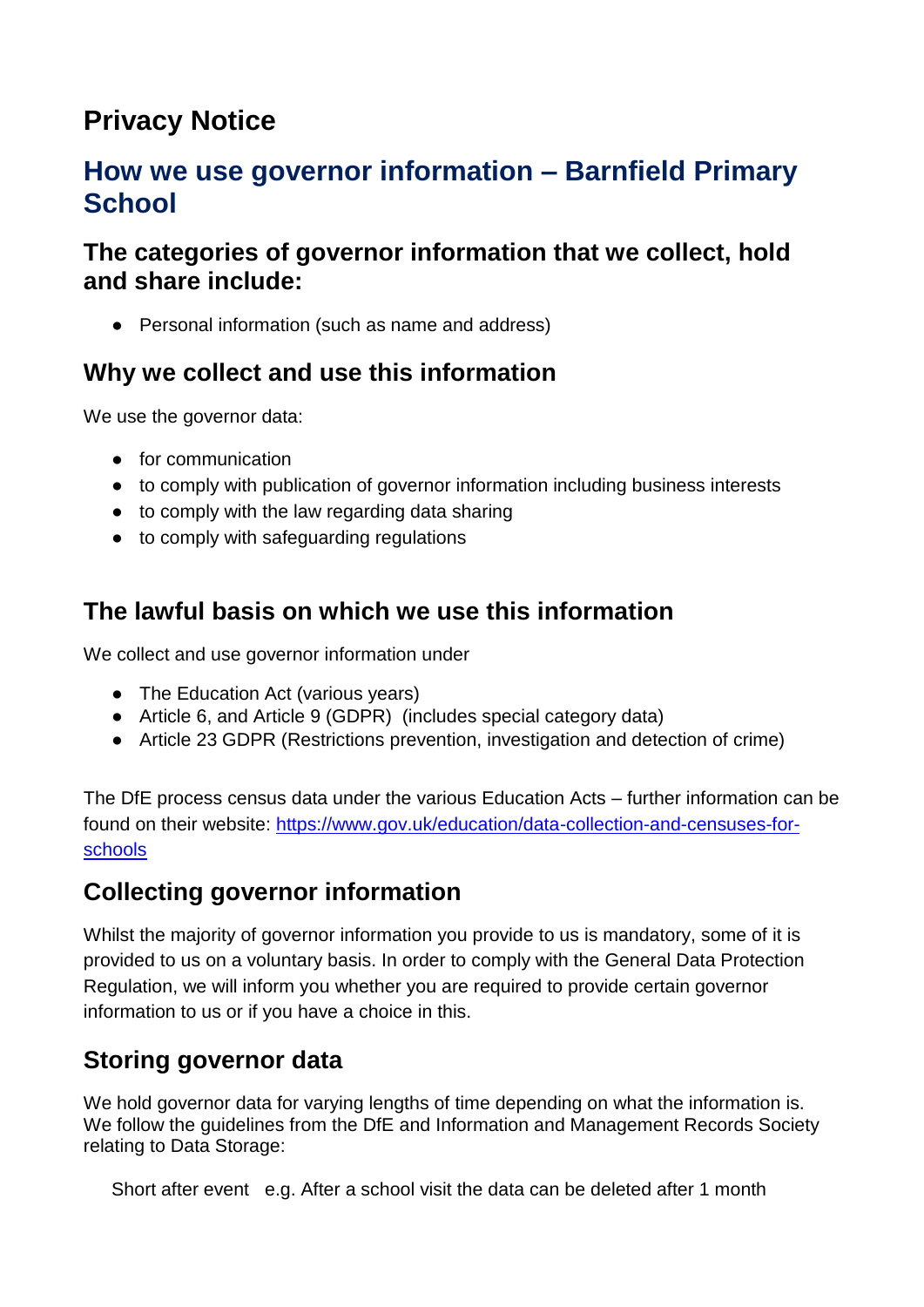# **Privacy Notice**

# **How we use governor information – Barnfield Primary School**

## **The categories of governor information that we collect, hold and share include:**

• Personal information (such as name and address)

# **Why we collect and use this information**

We use the governor data:

- for communication
- to comply with publication of governor information including business interests
- to comply with the law regarding data sharing
- to comply with safeguarding regulations

# **The lawful basis on which we use this information**

We collect and use governor information under

- The Education Act (various vears)
- Article 6, and Article 9 (GDPR) (includes special category data)
- Article 23 GDPR (Restrictions prevention, investigation and detection of crime)

The DfE process census data under the various Education Acts – further information can be found on their website: [https://www.gov.uk/education/data-collection-and-censuses-for](https://www.gov.uk/education/data-collection-and-censuses-for-schools)[schools](https://www.gov.uk/education/data-collection-and-censuses-for-schools)

# **Collecting governor information**

Whilst the majority of governor information you provide to us is mandatory, some of it is provided to us on a voluntary basis. In order to comply with the General Data Protection Regulation, we will inform you whether you are required to provide certain governor information to us or if you have a choice in this.

# **Storing governor data**

We hold governor data for varying lengths of time depending on what the information is. We follow the guidelines from the DfE and Information and Management Records Society relating to Data Storage:

Short after event e.g. After a school visit the data can be deleted after 1 month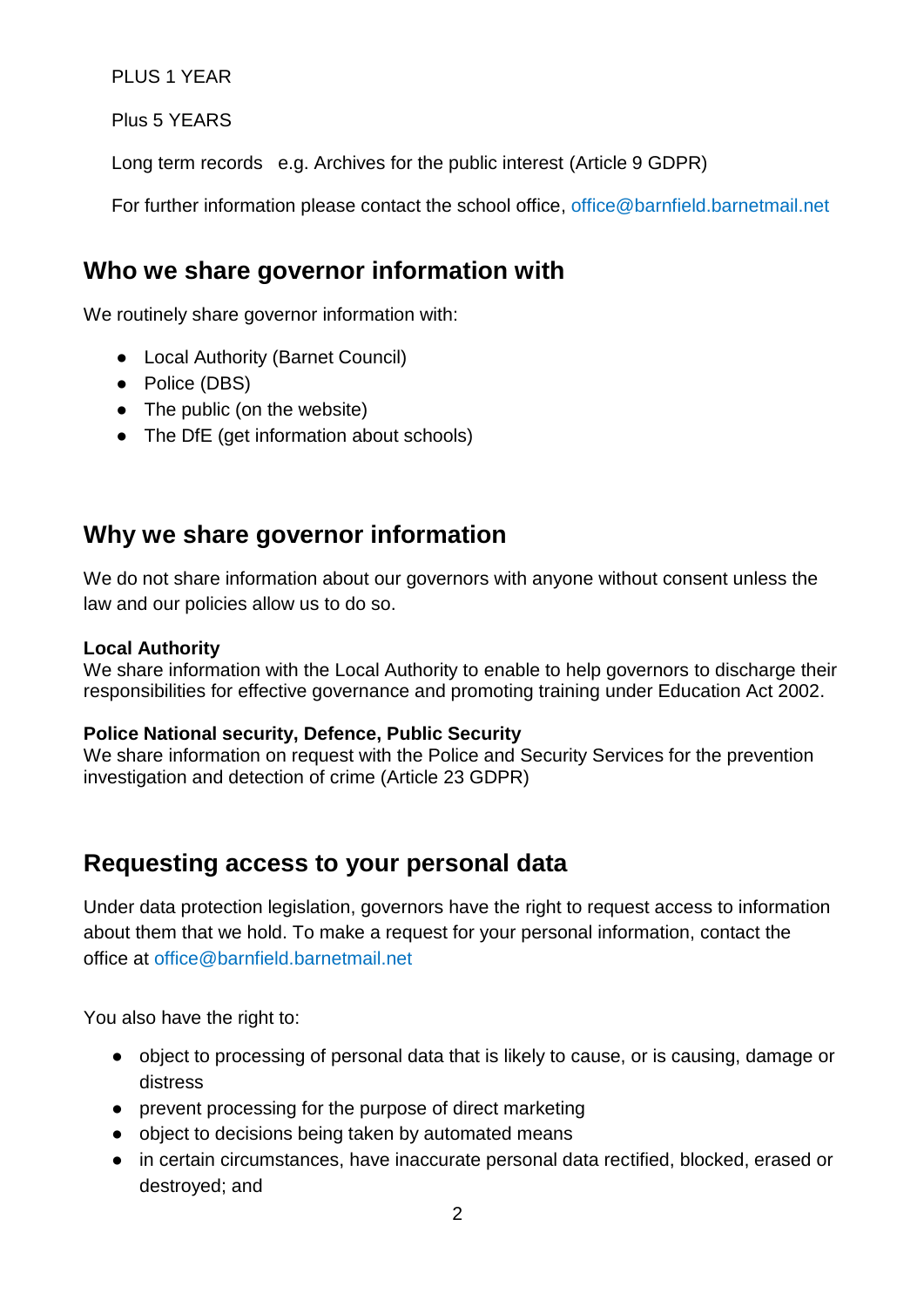PLUS 1 YEAR

Plus 5 YEARS

Long term records e.g. Archives for the public interest (Article 9 GDPR)

For further information please contact the school office, office@barnfield.barnetmail.net

### **Who we share governor information with**

We routinely share governor information with:

- Local Authority (Barnet Council)
- Police (DBS)
- The public (on the website)
- The DfE (get information about schools)

# **Why we share governor information**

We do not share information about our governors with anyone without consent unless the law and our policies allow us to do so.

#### **Local Authority**

We share information with the Local Authority to enable to help governors to discharge their responsibilities for effective governance and promoting training under Education Act 2002.

#### **Police National security, Defence, Public Security**

We share information on request with the Police and Security Services for the prevention investigation and detection of crime (Article 23 GDPR)

### **Requesting access to your personal data**

Under data protection legislation, governors have the right to request access to information about them that we hold. To make a request for your personal information, contact the office at office@barnfield.barnetmail.net

You also have the right to:

- object to processing of personal data that is likely to cause, or is causing, damage or distress
- prevent processing for the purpose of direct marketing
- object to decisions being taken by automated means
- in certain circumstances, have inaccurate personal data rectified, blocked, erased or destroyed; and